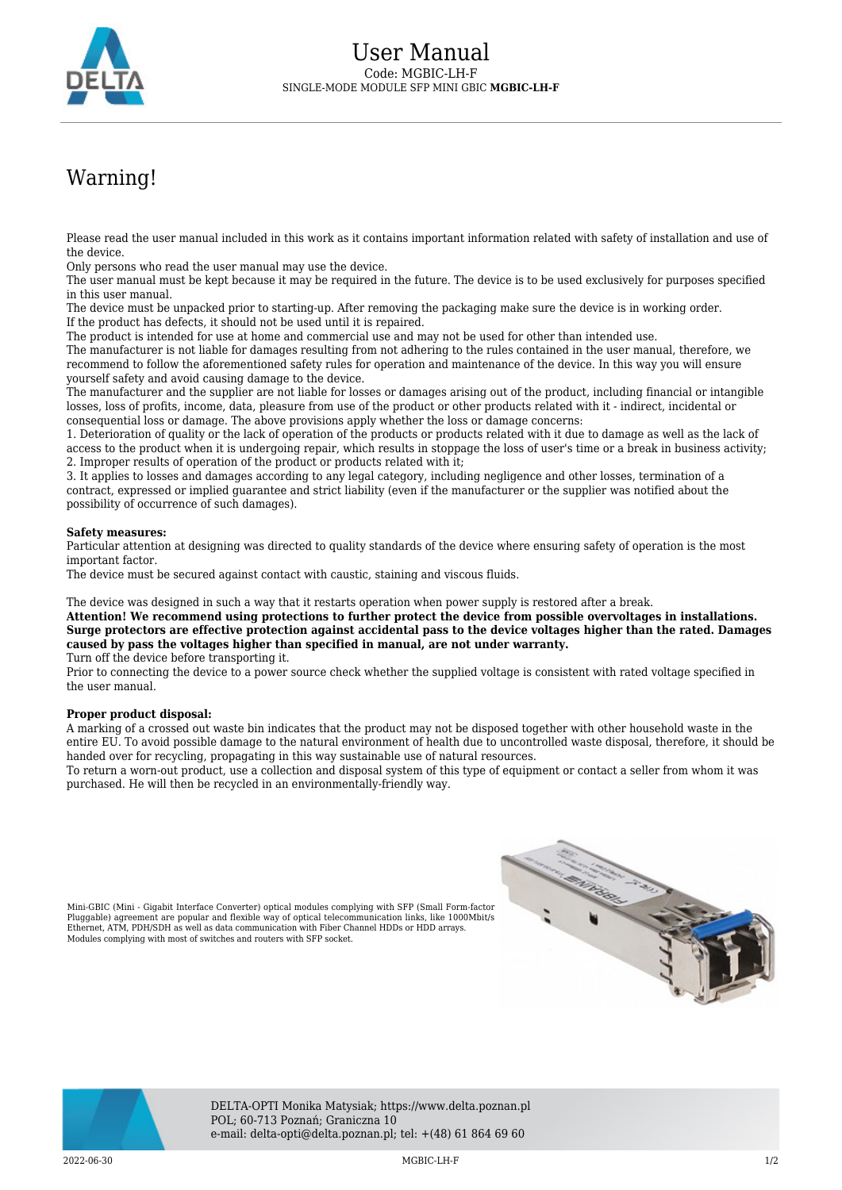

## Warning!

Please read the user manual included in this work as it contains important information related with safety of installation and use of the device.

Only persons who read the user manual may use the device.

The user manual must be kept because it may be required in the future. The device is to be used exclusively for purposes specified in this user manual.

The device must be unpacked prior to starting-up. After removing the packaging make sure the device is in working order. If the product has defects, it should not be used until it is repaired.

The product is intended for use at home and commercial use and may not be used for other than intended use.

The manufacturer is not liable for damages resulting from not adhering to the rules contained in the user manual, therefore, we recommend to follow the aforementioned safety rules for operation and maintenance of the device. In this way you will ensure yourself safety and avoid causing damage to the device.

The manufacturer and the supplier are not liable for losses or damages arising out of the product, including financial or intangible losses, loss of profits, income, data, pleasure from use of the product or other products related with it - indirect, incidental or consequential loss or damage. The above provisions apply whether the loss or damage concerns:

1. Deterioration of quality or the lack of operation of the products or products related with it due to damage as well as the lack of access to the product when it is undergoing repair, which results in stoppage the loss of user's time or a break in business activity; 2. Improper results of operation of the product or products related with it;

3. It applies to losses and damages according to any legal category, including negligence and other losses, termination of a contract, expressed or implied guarantee and strict liability (even if the manufacturer or the supplier was notified about the possibility of occurrence of such damages).

## **Safety measures:**

Particular attention at designing was directed to quality standards of the device where ensuring safety of operation is the most important factor.

The device must be secured against contact with caustic, staining and viscous fluids.

The device was designed in such a way that it restarts operation when power supply is restored after a break.

**Attention! We recommend using protections to further protect the device from possible overvoltages in installations. Surge protectors are effective protection against accidental pass to the device voltages higher than the rated. Damages caused by pass the voltages higher than specified in manual, are not under warranty.** Turn off the device before transporting it.

Prior to connecting the device to a power source check whether the supplied voltage is consistent with rated voltage specified in the user manual.

## **Proper product disposal:**

Modules complying with most of switches and routers with SFP socket.

A marking of a crossed out waste bin indicates that the product may not be disposed together with other household waste in the entire EU. To avoid possible damage to the natural environment of health due to uncontrolled waste disposal, therefore, it should be handed over for recycling, propagating in this way sustainable use of natural resources.

To return a worn-out product, use a collection and disposal system of this type of equipment or contact a seller from whom it was purchased. He will then be recycled in an environmentally-friendly way.





DELTA-OPTI Monika Matysiak; https://www.delta.poznan.pl POL; 60-713 Poznań; Graniczna 10 e-mail: delta-opti@delta.poznan.pl; tel: +(48) 61 864 69 60

2022-06-30 MGBIC-LH-F 1/2